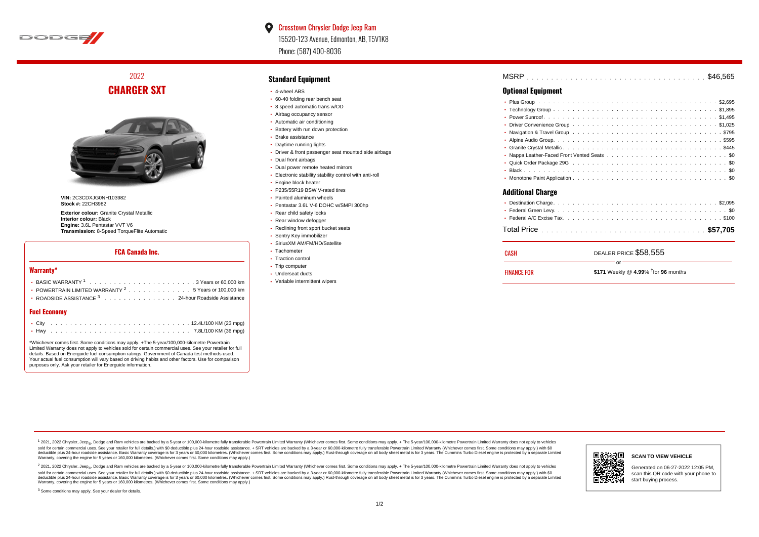

### $\bullet$ Crosstown Chrysler Dodge Jeep Ram 15520-123 Avenue, Edmonton, AB, T5V1K8 Phone: (587) 400-8036

2022 **CHARGER SXT**



**VIN:** 2C3CDXJG0NH103982 **Stock #:** 22CH3982

**Exterior colour:** Granite Crystal Metallic **Interior colour:** Black **Engine:** 3.6L Pentastar VVT V6 **Transmission:** 8-Speed TorqueFlite Automatic

#### **FCA Canada Inc.**

#### **Warranty\***

| POWERTRAIN LIMITED WARRANTY $2, \ldots, \ldots, \ldots, \ldots, 5$ Years or 100.000 km |
|----------------------------------------------------------------------------------------|
| • ROADSIDE ASSISTANCE $^3$ , , , , , , , , , , , , , , , , 24-hour Roadside Assistance |
|                                                                                        |

#### **Fuel Economy**

\*Whichever comes first. Some conditions may apply. +The 5-year/100,000-kilometre Powertrain Limited Warranty does not apply to vehicles sold for certain commercial uses. See your retailer for full details. Based on Energuide fuel consumption ratings. Government of Canada test methods used. Your actual fuel consumption will vary based on driving habits and other factors. Use for comparison purposes only. Ask your retailer for Energuide information.

#### **Standard Equipment**

- 4-wheel ABS
- 60-40 folding rear bench seat
- 8 speed automatic trans w/OD
- Airbag occupancy sensor
- Automatic air conditioning
- Battery with run down protection
- Brake assistance
- Daytime running lights
- Driver & front passenger seat mounted side airbags
- Dual front airbags
- Dual power remote heated mirrors
- Electronic stability stability control with anti-roll
- **Engine block heater**
- P235/55R19 BSW V-rated tires
- Painted aluminum wheels
- Pentastar 3.6L V-6 DOHC w/SMPI 300hp
- Rear child safety locks
- Rear window defogger
- Reclining front sport bucket seats
- Sentry Key immobilizer
- SiriusXM AM/FM/HD/Satellite
- Tachometer
- Traction control
- Trip computer
- Underseat ducts
- Variable intermittent wipers

| MSRP |  |  |  |  |  |  |  |  |  |  |  |  |  |  |  |  |  |  |  |  |  |
|------|--|--|--|--|--|--|--|--|--|--|--|--|--|--|--|--|--|--|--|--|--|
|      |  |  |  |  |  |  |  |  |  |  |  |  |  |  |  |  |  |  |  |  |  |

## **Optional Equipment**

| <b>Additional Charge</b> |
|--------------------------|
|                          |
|                          |
|                          |
|                          |

| CASH               | DEALER PRICE \$58,555                        |
|--------------------|----------------------------------------------|
| <b>FINANCE FOR</b> | ∩r<br>\$171 Weekly @ 4.99% $†$ for 96 months |

1 2021, 2022 Chrysler, Jeep.... Dodge and Ram vehicles are backed by a 5-year or 100,000-kilometre fully transferable Powertrain Limited Warranty (Whichever comes first. Some conditions may apply. + The 5-year/100,000-kilo sold for certain commercial uses. See your retailer for full details.) with \$0 deductible plus 24-hour roadside assistance. + SRT vehicles are backed by a 3-year or 60,000-kilometre fully transferable Powertrain Limited Wa detuctible plus 24-hour roadside assistance. Basic Warranty coverage is for 3 years or 60,000 kilometres. Whichever comes first. Some conditions may apply.) Rust-through coverage on all body sheet metals for 3 years. The C Warranty, covering the engine for 5 years or 160,000 kilometres. (Whichever comes first. Some conditions may apply.)

<sup>2</sup> 2021, 2022 Chrysler, Jeep<sub>®</sub>, Dodge and Ram vehicles are backed by a 5-year or 100,000-kilometre fully transferable Powertrain Limited Warranty (Whichever comes first. Some conditions may apply. + The 5-year/100,000-ki sold for certain commercial uses. See your retailer for full details.) with \$0 deductible plus 24-hour roadside assistance. + SRT vehicles are backed by a 3-year or 60.000-kilometre fully transferable Powertrain Limited Wa deductible plus 24-hour roadside assistance. Basic Warranty coverage is for 3 years or 60,000 kilometres. (Whichever comes first. Some conditions may apply.) Rust-through coverage on all body sheet metal is for 3 years. Th



#### **SCAN TO VIEW VEHICLE**

Generated on 06-27-2022 12:05 PM, scan this QR code with your phone to start buying process.

<sup>3</sup> Some conditions may apply. See your dealer for details.